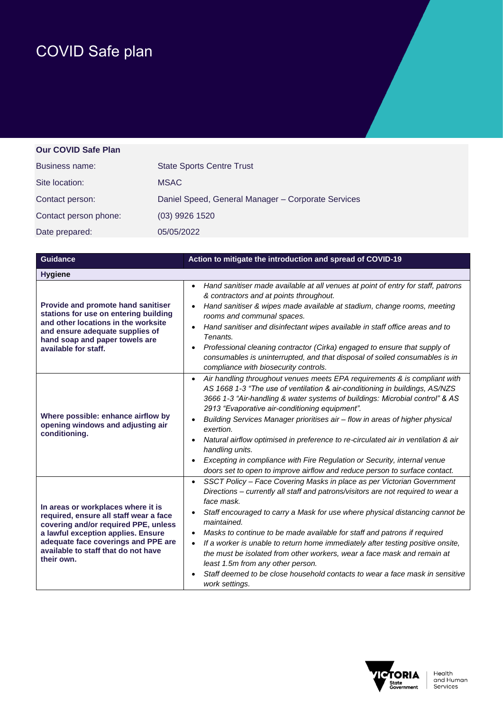## COVID Safe plan

## **Our COVID Safe Plan**

| Business name:        | <b>State Sports Centre Trust</b>                   |
|-----------------------|----------------------------------------------------|
| Site location:        | <b>MSAC</b>                                        |
| Contact person:       | Daniel Speed, General Manager - Corporate Services |
| Contact person phone: | (03) 9926 1520                                     |
| Date prepared:        | 05/05/2022                                         |

| <b>Guidance</b>                                                                                                                                                                                                                                        | Action to mitigate the introduction and spread of COVID-19                                                                                                                                                                                                                                                                                                                                                                                                                                                                                                                                                                                                                                      |
|--------------------------------------------------------------------------------------------------------------------------------------------------------------------------------------------------------------------------------------------------------|-------------------------------------------------------------------------------------------------------------------------------------------------------------------------------------------------------------------------------------------------------------------------------------------------------------------------------------------------------------------------------------------------------------------------------------------------------------------------------------------------------------------------------------------------------------------------------------------------------------------------------------------------------------------------------------------------|
| <b>Hygiene</b>                                                                                                                                                                                                                                         |                                                                                                                                                                                                                                                                                                                                                                                                                                                                                                                                                                                                                                                                                                 |
| Provide and promote hand sanitiser<br>stations for use on entering building<br>and other locations in the worksite<br>and ensure adequate supplies of<br>hand soap and paper towels are<br>available for staff.                                        | Hand sanitiser made available at all venues at point of entry for staff, patrons<br>$\bullet$<br>& contractors and at points throughout.<br>Hand sanitiser & wipes made available at stadium, change rooms, meeting<br>$\bullet$<br>rooms and communal spaces.<br>Hand sanitiser and disinfectant wipes available in staff office areas and to<br>Tenants.<br>Professional cleaning contractor (Cirka) engaged to ensure that supply of<br>consumables is uninterrupted, and that disposal of soiled consumables is in<br>compliance with biosecurity controls.                                                                                                                                 |
| Where possible: enhance airflow by<br>opening windows and adjusting air<br>conditioning.                                                                                                                                                               | Air handling throughout venues meets EPA requirements & is compliant with<br>$\bullet$<br>AS 1668 1-3 "The use of ventilation & air-conditioning in buildings, AS/NZS<br>3666 1-3 "Air-handling & water systems of buildings: Microbial control" & AS<br>2913 "Evaporative air-conditioning equipment".<br>Building Services Manager prioritises air - flow in areas of higher physical<br>exertion.<br>Natural airflow optimised in preference to re-circulated air in ventilation & air<br>$\bullet$<br>handling units.<br>Excepting in compliance with Fire Regulation or Security, internal venue<br>doors set to open to improve airflow and reduce person to surface contact.             |
| In areas or workplaces where it is<br>required, ensure all staff wear a face<br>covering and/or required PPE, unless<br>a lawful exception applies. Ensure<br>adequate face coverings and PPE are<br>available to staff that do not have<br>their own. | SSCT Policy - Face Covering Masks in place as per Victorian Government<br>$\bullet$<br>Directions - currently all staff and patrons/visitors are not required to wear a<br>face mask.<br>Staff encouraged to carry a Mask for use where physical distancing cannot be<br>maintained.<br>Masks to continue to be made available for staff and patrons if required<br>$\bullet$<br>If a worker is unable to return home immediately after testing positive onsite,<br>$\bullet$<br>the must be isolated from other workers, wear a face mask and remain at<br>least 1.5m from any other person.<br>Staff deemed to be close household contacts to wear a face mask in sensitive<br>work settings. |

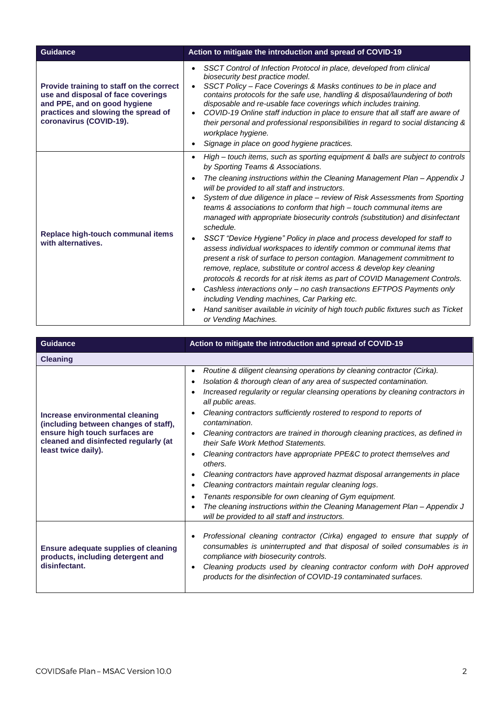| Guidance                                                                                                                                                                         | Action to mitigate the introduction and spread of COVID-19                                                                                                                                                                                                                                                                                                                                                                                                                                                                                                                                                                                                                                                                                                                                                                                                                                                                                                                                                                                                                                                                                           |
|----------------------------------------------------------------------------------------------------------------------------------------------------------------------------------|------------------------------------------------------------------------------------------------------------------------------------------------------------------------------------------------------------------------------------------------------------------------------------------------------------------------------------------------------------------------------------------------------------------------------------------------------------------------------------------------------------------------------------------------------------------------------------------------------------------------------------------------------------------------------------------------------------------------------------------------------------------------------------------------------------------------------------------------------------------------------------------------------------------------------------------------------------------------------------------------------------------------------------------------------------------------------------------------------------------------------------------------------|
| Provide training to staff on the correct<br>use and disposal of face coverings<br>and PPE, and on good hygiene<br>practices and slowing the spread of<br>coronavirus (COVID-19). | SSCT Control of Infection Protocol in place, developed from clinical<br>$\bullet$<br>biosecurity best practice model.<br>SSCT Policy - Face Coverings & Masks continues to be in place and<br>contains protocols for the safe use, handling & disposal/laundering of both<br>disposable and re-usable face coverings which includes training.<br>COVID-19 Online staff induction in place to ensure that all staff are aware of<br>their personal and professional responsibilities in regard to social distancing &<br>workplace hygiene.<br>Signage in place on good hygiene practices.                                                                                                                                                                                                                                                                                                                                                                                                                                                                                                                                                            |
| Replace high-touch communal items<br>with alternatives.                                                                                                                          | High - touch items, such as sporting equipment & balls are subject to controls<br>$\bullet$<br>by Sporting Teams & Associations.<br>The cleaning instructions within the Cleaning Management Plan – Appendix J<br>will be provided to all staff and instructors.<br>System of due diligence in place - review of Risk Assessments from Sporting<br>teams & associations to conform that high – touch communal items are<br>managed with appropriate biosecurity controls (substitution) and disinfectant<br>schedule.<br>SSCT "Device Hygiene" Policy in place and process developed for staff to<br>assess individual workspaces to identify common or communal items that<br>present a risk of surface to person contagion. Management commitment to<br>remove, replace, substitute or control access & develop key cleaning<br>protocols & records for at risk items as part of COVID Management Controls.<br>Cashless interactions only - no cash transactions EFTPOS Payments only<br>including Vending machines, Car Parking etc.<br>Hand sanitiser available in vicinity of high touch public fixtures such as Ticket<br>or Vending Machines. |

| <b>Guidance</b>                                                                                                                                                            | Action to mitigate the introduction and spread of COVID-19                                                                                                                                                                                                                                                                                                                                                                                                                                                                                                                                                                                                                                                                                                                                                                                                                                            |
|----------------------------------------------------------------------------------------------------------------------------------------------------------------------------|-------------------------------------------------------------------------------------------------------------------------------------------------------------------------------------------------------------------------------------------------------------------------------------------------------------------------------------------------------------------------------------------------------------------------------------------------------------------------------------------------------------------------------------------------------------------------------------------------------------------------------------------------------------------------------------------------------------------------------------------------------------------------------------------------------------------------------------------------------------------------------------------------------|
| <b>Cleaning</b>                                                                                                                                                            |                                                                                                                                                                                                                                                                                                                                                                                                                                                                                                                                                                                                                                                                                                                                                                                                                                                                                                       |
| Increase environmental cleaning<br>(including between changes of staff),<br>ensure high touch surfaces are<br>cleaned and disinfected regularly (at<br>least twice daily). | Routine & diligent cleansing operations by cleaning contractor (Cirka).<br>$\bullet$<br>Isolation & thorough clean of any area of suspected contamination.<br>Increased regularity or regular cleansing operations by cleaning contractors in<br>all public areas.<br>Cleaning contractors sufficiently rostered to respond to reports of<br>contamination.<br>Cleaning contractors are trained in thorough cleaning practices, as defined in<br>their Safe Work Method Statements.<br>Cleaning contractors have appropriate PPE&C to protect themselves and<br>others.<br>Cleaning contractors have approved hazmat disposal arrangements in place<br>Cleaning contractors maintain regular cleaning logs.<br>Tenants responsible for own cleaning of Gym equipment.<br>The cleaning instructions within the Cleaning Management Plan - Appendix J<br>will be provided to all staff and instructors. |
| <b>Ensure adequate supplies of cleaning</b><br>products, including detergent and<br>disinfectant.                                                                          | Professional cleaning contractor (Cirka) engaged to ensure that supply of<br>consumables is uninterrupted and that disposal of soiled consumables is in<br>compliance with biosecurity controls.<br>Cleaning products used by cleaning contractor conform with DoH approved<br>products for the disinfection of COVID-19 contaminated surfaces.                                                                                                                                                                                                                                                                                                                                                                                                                                                                                                                                                       |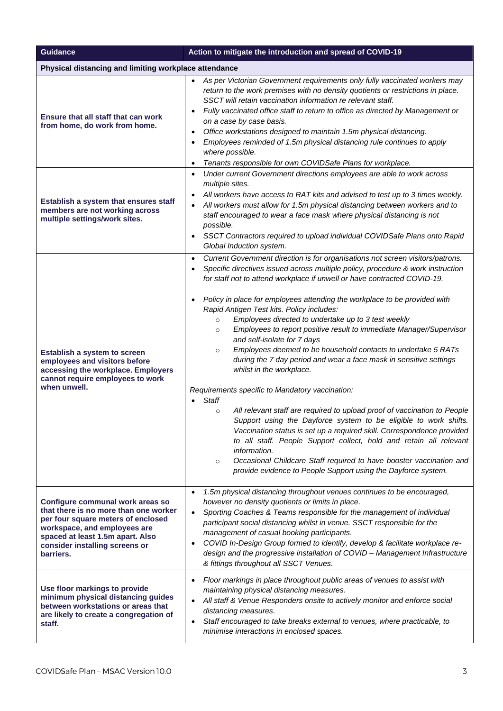| <b>Guidance</b>                                                                                                                                                                                                                    | Action to mitigate the introduction and spread of COVID-19                                                                                                                                                                                                                                                                                                                                                                                                                                                                                                                                                                                                                                                                                                                                                                                                                                                                                                                                                                                                                                                                                                                                                                                                                                                          |
|------------------------------------------------------------------------------------------------------------------------------------------------------------------------------------------------------------------------------------|---------------------------------------------------------------------------------------------------------------------------------------------------------------------------------------------------------------------------------------------------------------------------------------------------------------------------------------------------------------------------------------------------------------------------------------------------------------------------------------------------------------------------------------------------------------------------------------------------------------------------------------------------------------------------------------------------------------------------------------------------------------------------------------------------------------------------------------------------------------------------------------------------------------------------------------------------------------------------------------------------------------------------------------------------------------------------------------------------------------------------------------------------------------------------------------------------------------------------------------------------------------------------------------------------------------------|
| Physical distancing and limiting workplace attendance                                                                                                                                                                              |                                                                                                                                                                                                                                                                                                                                                                                                                                                                                                                                                                                                                                                                                                                                                                                                                                                                                                                                                                                                                                                                                                                                                                                                                                                                                                                     |
| Ensure that all staff that can work<br>from home, do work from home.                                                                                                                                                               | As per Victorian Government requirements only fully vaccinated workers may<br>return to the work premises with no density quotients or restrictions in place.<br>SSCT will retain vaccination information re relevant staff.<br>Fully vaccinated office staff to return to office as directed by Management or<br>$\bullet$<br>on a case by case basis.<br>Office workstations designed to maintain 1.5m physical distancing.<br>$\bullet$<br>Employees reminded of 1.5m physical distancing rule continues to apply<br>where possible.<br>Tenants responsible for own COVIDSafe Plans for workplace.<br>$\bullet$                                                                                                                                                                                                                                                                                                                                                                                                                                                                                                                                                                                                                                                                                                  |
| Establish a system that ensures staff<br>members are not working across<br>multiple settings/work sites.                                                                                                                           | Under current Government directions employees are able to work across<br>$\bullet$<br>multiple sites.<br>All workers have access to RAT kits and advised to test up to 3 times weekly.<br>All workers must allow for 1.5m physical distancing between workers and to<br>staff encouraged to wear a face mask where physical distancing is not<br>possible.<br>SSCT Contractors required to upload individual COVIDSafe Plans onto Rapid<br>Global Induction system.                                                                                                                                                                                                                                                                                                                                                                                                                                                                                                                                                                                                                                                                                                                                                                                                                                                 |
| Establish a system to screen<br>employees and visitors before<br>accessing the workplace. Employers<br>cannot require employees to work<br>when unwell.                                                                            | Current Government direction is for organisations not screen visitors/patrons.<br>$\bullet$<br>Specific directives issued across multiple policy, procedure & work instruction<br>for staff not to attend workplace if unwell or have contracted COVID-19.<br>Policy in place for employees attending the workplace to be provided with<br>$\bullet$<br>Rapid Antigen Test kits. Policy includes:<br>Employees directed to undertake up to 3 test weekly<br>$\circ$<br>Employees to report positive result to immediate Manager/Supervisor<br>$\circ$<br>and self-isolate for 7 days<br>Employees deemed to be household contacts to undertake 5 RATs<br>$\circ$<br>during the 7 day period and wear a face mask in sensitive settings<br>whilst in the workplace.<br>Requirements specific to Mandatory vaccination:<br><b>Staff</b><br>All relevant staff are required to upload proof of vaccination to People<br>$\circ$<br>Support using the Dayforce system to be eligible to work shifts.<br>Vaccination status is set up a required skill. Correspondence provided<br>to all staff. People Support collect, hold and retain all relevant<br>information.<br>Occasional Childcare Staff required to have booster vaccination and<br>$\circ$<br>provide evidence to People Support using the Dayforce system. |
| Configure communal work areas so<br>that there is no more than one worker<br>per four square meters of enclosed<br>workspace, and employees are<br>spaced at least 1.5m apart. Also<br>consider installing screens or<br>barriers. | 1.5m physical distancing throughout venues continues to be encouraged,<br>$\bullet$<br>however no density quotients or limits in place.<br>Sporting Coaches & Teams responsible for the management of individual<br>$\bullet$<br>participant social distancing whilst in venue. SSCT responsible for the<br>management of casual booking participants.<br>COVID In-Design Group formed to identify, develop & facilitate workplace re-<br>$\bullet$<br>design and the progressive installation of COVID - Management Infrastructure<br>& fittings throughout all SSCT Venues.                                                                                                                                                                                                                                                                                                                                                                                                                                                                                                                                                                                                                                                                                                                                       |
| Use floor markings to provide<br>minimum physical distancing guides<br>between workstations or areas that<br>are likely to create a congregation of<br>staff.                                                                      | Floor markings in place throughout public areas of venues to assist with<br>maintaining physical distancing measures.<br>All staff & Venue Responders onsite to actively monitor and enforce social<br>distancing measures.<br>Staff encouraged to take breaks external to venues, where practicable, to<br>$\bullet$<br>minimise interactions in enclosed spaces.                                                                                                                                                                                                                                                                                                                                                                                                                                                                                                                                                                                                                                                                                                                                                                                                                                                                                                                                                  |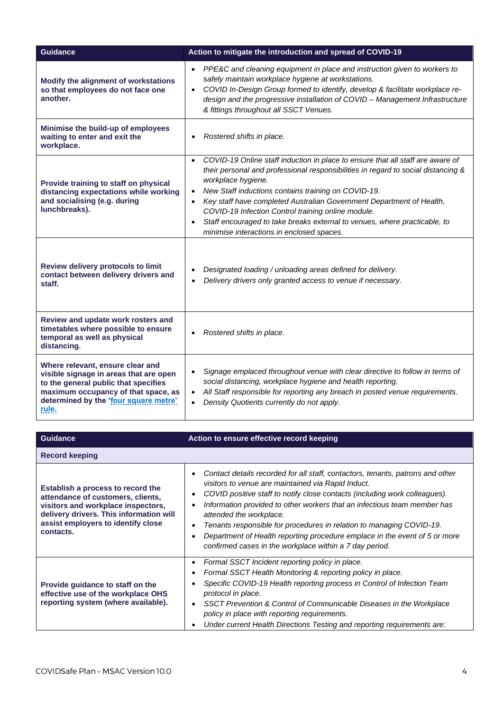| <b>Guidance</b>                                                                                                                                                                                             | Action to mitigate the introduction and spread of COVID-19                                                                                                                                                                                                                                                                                                                                                                                                                                                                                                   |
|-------------------------------------------------------------------------------------------------------------------------------------------------------------------------------------------------------------|--------------------------------------------------------------------------------------------------------------------------------------------------------------------------------------------------------------------------------------------------------------------------------------------------------------------------------------------------------------------------------------------------------------------------------------------------------------------------------------------------------------------------------------------------------------|
| Modify the alignment of workstations<br>so that employees do not face one<br>another.                                                                                                                       | PPE&C and cleaning equipment in place and instruction given to workers to<br>$\bullet$<br>safely maintain workplace hygiene at workstations.<br>COVID In-Design Group formed to identify, develop & facilitate workplace re-<br>$\bullet$<br>design and the progressive installation of COVID - Management Infrastructure<br>& fittings throughout all SSCT Venues.                                                                                                                                                                                          |
| Minimise the build-up of employees<br>waiting to enter and exit the<br>workplace.                                                                                                                           | Rostered shifts in place.<br>$\bullet$                                                                                                                                                                                                                                                                                                                                                                                                                                                                                                                       |
| Provide training to staff on physical<br>distancing expectations while working<br>and socialising (e.g. during<br>lunchbreaks).                                                                             | COVID-19 Online staff induction in place to ensure that all staff are aware of<br>$\bullet$<br>their personal and professional responsibilities in regard to social distancing &<br>workplace hygiene.<br>New Staff inductions contains training on COVID-19.<br>$\bullet$<br>Key staff have completed Australian Government Department of Health,<br>$\bullet$<br>COVID-19 Infection Control training online module.<br>Staff encouraged to take breaks external to venues, where practicable, to<br>$\bullet$<br>minimise interactions in enclosed spaces. |
| Review delivery protocols to limit<br>contact between delivery drivers and<br>staff.                                                                                                                        | Designated loading / unloading areas defined for delivery.<br>Delivery drivers only granted access to venue if necessary.                                                                                                                                                                                                                                                                                                                                                                                                                                    |
| Review and update work rosters and<br>timetables where possible to ensure<br>temporal as well as physical<br>distancing.                                                                                    | Rostered shifts in place.                                                                                                                                                                                                                                                                                                                                                                                                                                                                                                                                    |
| Where relevant, ensure clear and<br>visible signage in areas that are open<br>to the general public that specifies<br>maximum occupancy of that space, as<br>determined by the 'four square metre'<br>rule. | Signage emplaced throughout venue with clear directive to follow in terms of<br>social distancing, workplace hygiene and health reporting.<br>All Staff responsible for reporting any breach in posted venue requirements.<br>$\bullet$<br>Density Quotients currently do not apply.                                                                                                                                                                                                                                                                         |

| Guidance                                                                                                                                                                                                   | Action to ensure effective record keeping                                                                                                                                                                                                                                                                                                                                                                                                                                                                                                  |
|------------------------------------------------------------------------------------------------------------------------------------------------------------------------------------------------------------|--------------------------------------------------------------------------------------------------------------------------------------------------------------------------------------------------------------------------------------------------------------------------------------------------------------------------------------------------------------------------------------------------------------------------------------------------------------------------------------------------------------------------------------------|
| <b>Record keeping</b>                                                                                                                                                                                      |                                                                                                                                                                                                                                                                                                                                                                                                                                                                                                                                            |
| Establish a process to record the<br>attendance of customers, clients,<br>visitors and workplace inspectors,<br>delivery drivers. This information will<br>assist employers to identify close<br>contacts. | Contact details recorded for all staff, contactors, tenants, patrons and other<br>visitors to venue are maintained via Rapid Induct.<br>COVID positive staff to notify close contacts (including work colleagues).<br>Information provided to other workers that an infectious team member has<br>attended the workplace.<br>Tenants responsible for procedures in relation to managing COVID-19.<br>Department of Health reporting procedure emplace in the event of 5 or more<br>confirmed cases in the workplace within a 7 day period. |
| Provide guidance to staff on the<br>effective use of the workplace OHS<br>reporting system (where available).                                                                                              | Formal SSCT Incident reporting policy in place.<br>$\bullet$<br>Formal SSCT Health Monitoring & reporting policy in place.<br>Specific COVID-19 Health reporting process in Control of Infection Team<br>protocol in place.<br>SSCT Prevention & Control of Communicable Diseases in the Workplace<br>policy in place with reporting requirements.<br>Under current Health Directions Testing and reporting requirements are:                                                                                                              |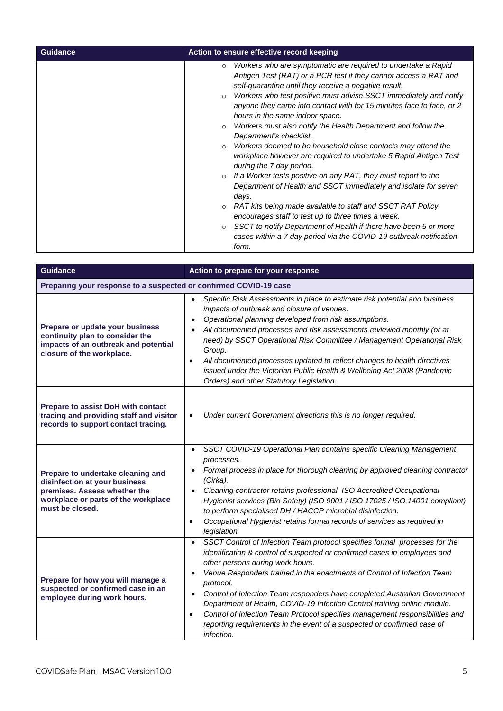| Guidance | Action to ensure effective record keeping                                                                                                                                                                                                                                                                                                                                                                                                                                                                                                                                                                                                                                                                                                                                                                                                                                                                                                                                                                                                                                                                                                |
|----------|------------------------------------------------------------------------------------------------------------------------------------------------------------------------------------------------------------------------------------------------------------------------------------------------------------------------------------------------------------------------------------------------------------------------------------------------------------------------------------------------------------------------------------------------------------------------------------------------------------------------------------------------------------------------------------------------------------------------------------------------------------------------------------------------------------------------------------------------------------------------------------------------------------------------------------------------------------------------------------------------------------------------------------------------------------------------------------------------------------------------------------------|
|          | Workers who are symptomatic are required to undertake a Rapid<br>$\circ$<br>Antigen Test (RAT) or a PCR test if they cannot access a RAT and<br>self-quarantine until they receive a negative result.<br>Workers who test positive must advise SSCT immediately and notify<br>$\circ$<br>anyone they came into contact with for 15 minutes face to face, or 2<br>hours in the same indoor space.<br>Workers must also notify the Health Department and follow the<br>$\circ$<br>Department's checklist.<br>Workers deemed to be household close contacts may attend the<br>$\circ$<br>workplace however are required to undertake 5 Rapid Antigen Test<br>during the 7 day period.<br>If a Worker tests positive on any RAT, they must report to the<br>$\circ$<br>Department of Health and SSCT immediately and isolate for seven<br>days.<br>RAT kits being made available to staff and SSCT RAT Policy<br>$\circ$<br>encourages staff to test up to three times a week.<br>SSCT to notify Department of Health if there have been 5 or more<br>$\circ$<br>cases within a 7 day period via the COVID-19 outbreak notification<br>form. |

| Guidance                                                                                                                                                     | Action to prepare for your response                                                                                                                                                                                                                                                                                                                                                                                                                                                                                                                                                                                                                          |
|--------------------------------------------------------------------------------------------------------------------------------------------------------------|--------------------------------------------------------------------------------------------------------------------------------------------------------------------------------------------------------------------------------------------------------------------------------------------------------------------------------------------------------------------------------------------------------------------------------------------------------------------------------------------------------------------------------------------------------------------------------------------------------------------------------------------------------------|
| Preparing your response to a suspected or confirmed COVID-19 case                                                                                            |                                                                                                                                                                                                                                                                                                                                                                                                                                                                                                                                                                                                                                                              |
| Prepare or update your business<br>continuity plan to consider the<br>impacts of an outbreak and potential<br>closure of the workplace.                      | Specific Risk Assessments in place to estimate risk potential and business<br>impacts of outbreak and closure of venues.<br>Operational planning developed from risk assumptions.<br>All documented processes and risk assessments reviewed monthly (or at<br>need) by SSCT Operational Risk Committee / Management Operational Risk<br>Group.<br>All documented processes updated to reflect changes to health directives<br>$\bullet$<br>issued under the Victorian Public Health & Wellbeing Act 2008 (Pandemic<br>Orders) and other Statutory Legislation.                                                                                               |
| Prepare to assist DoH with contact<br>tracing and providing staff and visitor<br>records to support contact tracing.                                         | Under current Government directions this is no longer required.<br>$\bullet$                                                                                                                                                                                                                                                                                                                                                                                                                                                                                                                                                                                 |
| Prepare to undertake cleaning and<br>disinfection at your business<br>premises. Assess whether the<br>workplace or parts of the workplace<br>must be closed. | SSCT COVID-19 Operational Plan contains specific Cleaning Management<br>$\bullet$<br>processes.<br>Formal process in place for thorough cleaning by approved cleaning contractor<br>(Cirka).<br>Cleaning contractor retains professional ISO Accredited Occupational<br>Hygienist services (Bio Safety) (ISO 9001 / ISO 17025 / ISO 14001 compliant)<br>to perform specialised DH / HACCP microbial disinfection.<br>Occupational Hygienist retains formal records of services as required in<br>$\bullet$<br>legislation.                                                                                                                                   |
| Prepare for how you will manage a<br>suspected or confirmed case in an<br>employee during work hours.                                                        | SSCT Control of Infection Team protocol specifies formal processes for the<br>$\bullet$<br>identification & control of suspected or confirmed cases in employees and<br>other persons during work hours.<br>Venue Responders trained in the enactments of Control of Infection Team<br>protocol.<br>Control of Infection Team responders have completed Australian Government<br>$\bullet$<br>Department of Health, COVID-19 Infection Control training online module.<br>Control of Infection Team Protocol specifies management responsibilities and<br>$\bullet$<br>reporting requirements in the event of a suspected or confirmed case of<br>infection. |